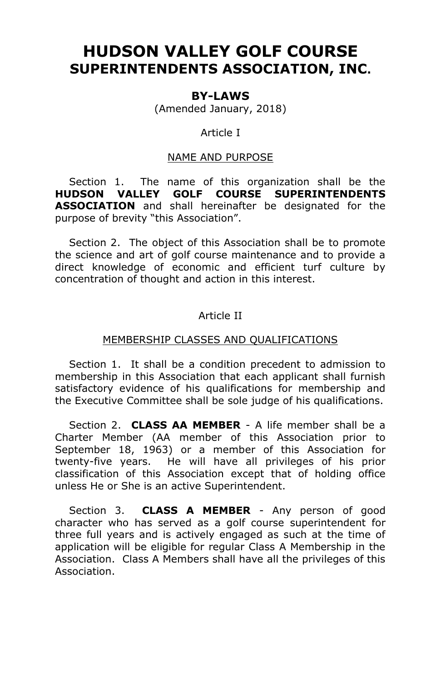# **HUDSON VALLEY GOLF COURSE SUPERINTENDENTS ASSOCIATION, INC.**

## **BY-LAWS**

(Amended January, 2018)

## Article I

## NAME AND PURPOSE

 Section 1. The name of this organization shall be the **HUDSON VALLEY GOLF COURSE SUPERINTENDENTS ASSOCIATION** and shall hereinafter be designated for the purpose of brevity "this Association".

 Section 2. The object of this Association shall be to promote the science and art of golf course maintenance and to provide a direct knowledge of economic and efficient turf culture by concentration of thought and action in this interest.

# Article II

## MEMBERSHIP CLASSES AND QUALIFICATIONS

 Section 1. It shall be a condition precedent to admission to membership in this Association that each applicant shall furnish satisfactory evidence of his qualifications for membership and the Executive Committee shall be sole judge of his qualifications.

 Section 2. **CLASS AA MEMBER** - A life member shall be a Charter Member (AA member of this Association prior to September 18, 1963) or a member of this Association for twenty-five years. He will have all privileges of his prior classification of this Association except that of holding office unless He or She is an active Superintendent.

 Section 3. **CLASS A MEMBER** - Any person of good character who has served as a golf course superintendent for three full years and is actively engaged as such at the time of application will be eligible for regular Class A Membership in the Association. Class A Members shall have all the privileges of this Association.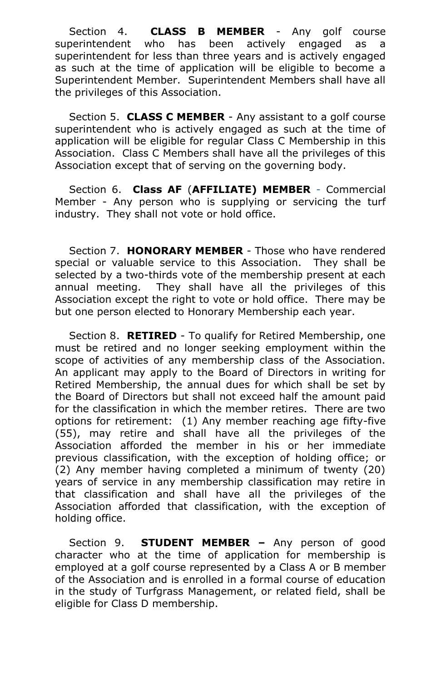Section 4. **CLASS B MEMBER** - Any golf course superintendent who has been actively engaged as a superintendent for less than three years and is actively engaged as such at the time of application will be eligible to become a Superintendent Member. Superintendent Members shall have all the privileges of this Association.

 Section 5. **CLASS C MEMBER** - Any assistant to a golf course superintendent who is actively engaged as such at the time of application will be eligible for regular Class C Membership in this Association. Class C Members shall have all the privileges of this Association except that of serving on the governing body.

 Section 6. **Class AF** (**AFFILIATE) MEMBER** - Commercial Member - Any person who is supplying or servicing the turf industry. They shall not vote or hold office.

 Section 7. **HONORARY MEMBER** - Those who have rendered special or valuable service to this Association. They shall be selected by a two-thirds vote of the membership present at each annual meeting. They shall have all the privileges of this Association except the right to vote or hold office. There may be but one person elected to Honorary Membership each year.

 Section 8. **RETIRED** - To qualify for Retired Membership, one must be retired and no longer seeking employment within the scope of activities of any membership class of the Association. An applicant may apply to the Board of Directors in writing for Retired Membership, the annual dues for which shall be set by the Board of Directors but shall not exceed half the amount paid for the classification in which the member retires. There are two options for retirement: (1) Any member reaching age fifty-five (55), may retire and shall have all the privileges of the Association afforded the member in his or her immediate previous classification, with the exception of holding office; or (2) Any member having completed a minimum of twenty (20) years of service in any membership classification may retire in that classification and shall have all the privileges of the Association afforded that classification, with the exception of holding office.

 Section 9.**STUDENT MEMBER –** Any person of good character who at the time of application for membership is employed at a golf course represented by a Class A or B member of the Association and is enrolled in a formal course of education in the study of Turfgrass Management, or related field, shall be eligible for Class D membership.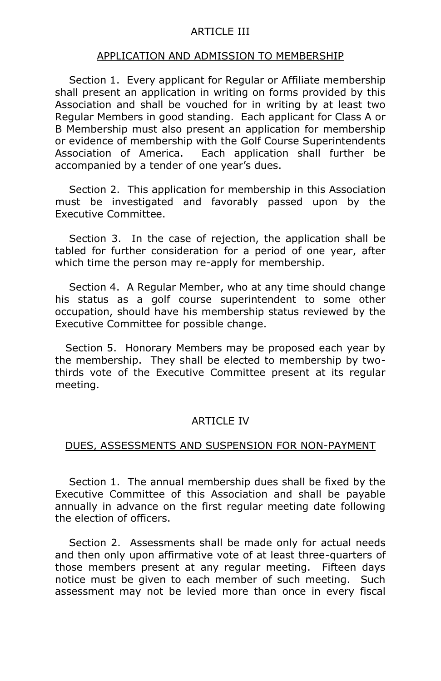## ARTICLE III

#### APPLICATION AND ADMISSION TO MEMBERSHIP

 Section 1. Every applicant for Regular or Affiliate membership shall present an application in writing on forms provided by this Association and shall be vouched for in writing by at least two Regular Members in good standing. Each applicant for Class A or B Membership must also present an application for membership or evidence of membership with the Golf Course Superintendents Association of America. Each application shall further be accompanied by a tender of one year's dues.

 Section 2. This application for membership in this Association must be investigated and favorably passed upon by the Executive Committee.

 Section 3. In the case of rejection, the application shall be tabled for further consideration for a period of one year, after which time the person may re-apply for membership.

 Section 4. A Regular Member, who at any time should change his status as a golf course superintendent to some other occupation, should have his membership status reviewed by the Executive Committee for possible change.

 Section 5. Honorary Members may be proposed each year by the membership. They shall be elected to membership by twothirds vote of the Executive Committee present at its regular meeting.

## ARTICLE IV

#### DUES, ASSESSMENTS AND SUSPENSION FOR NON-PAYMENT

 Section 1. The annual membership dues shall be fixed by the Executive Committee of this Association and shall be payable annually in advance on the first regular meeting date following the election of officers.

 Section 2. Assessments shall be made only for actual needs and then only upon affirmative vote of at least three-quarters of those members present at any regular meeting. Fifteen days notice must be given to each member of such meeting. Such assessment may not be levied more than once in every fiscal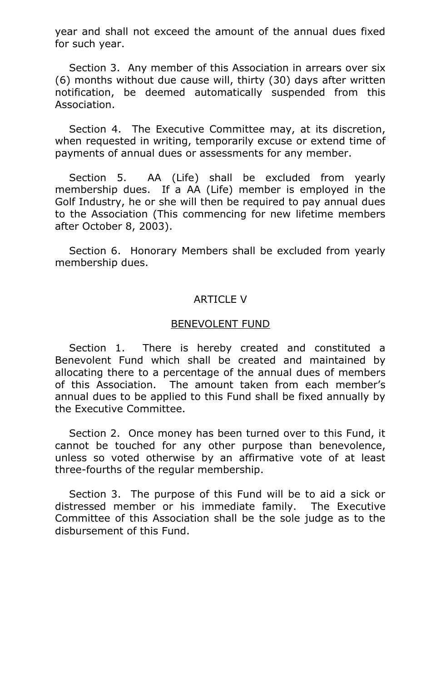year and shall not exceed the amount of the annual dues fixed for such year.

 Section 3. Any member of this Association in arrears over six (6) months without due cause will, thirty (30) days after written notification, be deemed automatically suspended from this Association.

 Section 4. The Executive Committee may, at its discretion, when requested in writing, temporarily excuse or extend time of payments of annual dues or assessments for any member.

 Section 5. AA (Life) shall be excluded from yearly membership dues. If a AA (Life) member is employed in the Golf Industry, he or she will then be required to pay annual dues to the Association (This commencing for new lifetime members after October 8, 2003).

 Section 6. Honorary Members shall be excluded from yearly membership dues.

# ARTICLE V

## BENEVOLENT FUND

 Section 1. There is hereby created and constituted a Benevolent Fund which shall be created and maintained by allocating there to a percentage of the annual dues of members of this Association. The amount taken from each member's annual dues to be applied to this Fund shall be fixed annually by the Executive Committee.

 Section 2. Once money has been turned over to this Fund, it cannot be touched for any other purpose than benevolence, unless so voted otherwise by an affirmative vote of at least three-fourths of the regular membership.

 Section 3. The purpose of this Fund will be to aid a sick or distressed member or his immediate family. The Executive Committee of this Association shall be the sole judge as to the disbursement of this Fund.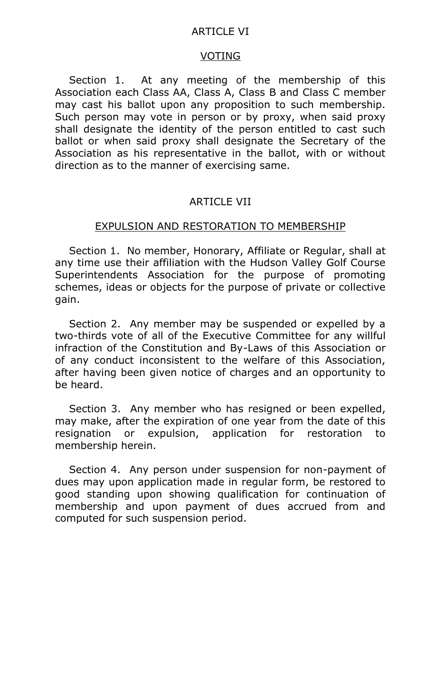#### ARTICLE VI

#### VOTING

 Section 1. At any meeting of the membership of this Association each Class AA, Class A, Class B and Class C member may cast his ballot upon any proposition to such membership. Such person may vote in person or by proxy, when said proxy shall designate the identity of the person entitled to cast such ballot or when said proxy shall designate the Secretary of the Association as his representative in the ballot, with or without direction as to the manner of exercising same.

# ARTICLE VII

#### EXPULSION AND RESTORATION TO MEMBERSHIP

 Section 1. No member, Honorary, Affiliate or Regular, shall at any time use their affiliation with the Hudson Valley Golf Course Superintendents Association for the purpose of promoting schemes, ideas or objects for the purpose of private or collective gain.

 Section 2. Any member may be suspended or expelled by a two-thirds vote of all of the Executive Committee for any willful infraction of the Constitution and By-Laws of this Association or of any conduct inconsistent to the welfare of this Association, after having been given notice of charges and an opportunity to be heard.

 Section 3. Any member who has resigned or been expelled, may make, after the expiration of one year from the date of this resignation or expulsion, application for restoration to membership herein.

 Section 4. Any person under suspension for non-payment of dues may upon application made in regular form, be restored to good standing upon showing qualification for continuation of membership and upon payment of dues accrued from and computed for such suspension period.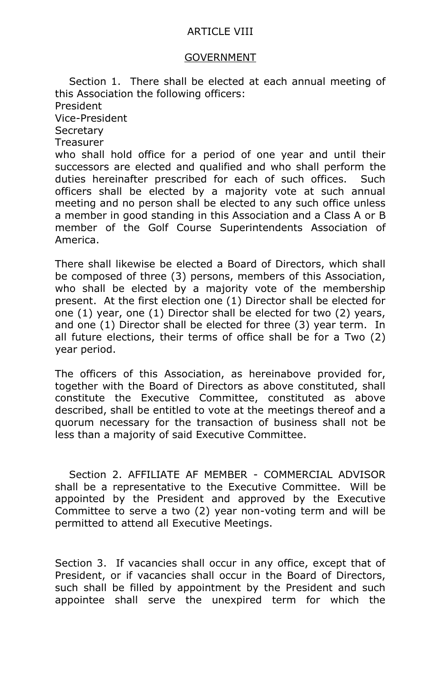## ARTICLE VIII

## GOVERNMENT

 Section 1. There shall be elected at each annual meeting of this Association the following officers: President Vice-President **Secretary Treasurer** who shall hold office for a period of one year and until their successors are elected and qualified and who shall perform the duties hereinafter prescribed for each of such offices. Such officers shall be elected by a majority vote at such annual meeting and no person shall be elected to any such office unless a member in good standing in this Association and a Class A or B member of the Golf Course Superintendents Association of America.

There shall likewise be elected a Board of Directors, which shall be composed of three (3) persons, members of this Association, who shall be elected by a majority vote of the membership present. At the first election one (1) Director shall be elected for one (1) year, one (1) Director shall be elected for two (2) years, and one (1) Director shall be elected for three (3) year term. In all future elections, their terms of office shall be for a Two (2) year period.

The officers of this Association, as hereinabove provided for, together with the Board of Directors as above constituted, shall constitute the Executive Committee, constituted as above described, shall be entitled to vote at the meetings thereof and a quorum necessary for the transaction of business shall not be less than a majority of said Executive Committee.

 Section 2. AFFILIATE AF MEMBER - COMMERCIAL ADVISOR shall be a representative to the Executive Committee. Will be appointed by the President and approved by the Executive Committee to serve a two (2) year non-voting term and will be permitted to attend all Executive Meetings.

Section 3. If vacancies shall occur in any office, except that of President, or if vacancies shall occur in the Board of Directors, such shall be filled by appointment by the President and such appointee shall serve the unexpired term for which the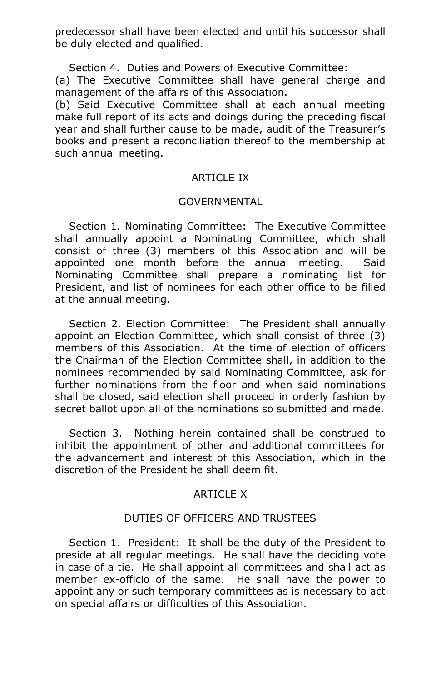predecessor shall have been elected and until his successor shall be duly elected and qualified.

Section 4. Duties and Powers of Executive Committee:

(a) The Executive Committee shall have general charge and management of the affairs of this Association.

(b) Said Executive Committee shall at each annual meeting make full report of its acts and doings during the preceding fiscal year and shall further cause to be made, audit of the Treasurer's books and present a reconciliation thereof to the membership at such annual meeting.

## **ARTICLE IX**

## GOVERNMENTAL

 Section 1. Nominating Committee: The Executive Committee shall annually appoint a Nominating Committee, which shall consist of three (3) members of this Association and will be appointed one month before the annual meeting. Said Nominating Committee shall prepare a nominating list for President, and list of nominees for each other office to be filled at the annual meeting.

 Section 2. Election Committee: The President shall annually appoint an Election Committee, which shall consist of three (3) members of this Association. At the time of election of officers the Chairman of the Election Committee shall, in addition to the nominees recommended by said Nominating Committee, ask for further nominations from the floor and when said nominations shall be closed, said election shall proceed in orderly fashion by secret ballot upon all of the nominations so submitted and made.

 Section 3. Nothing herein contained shall be construed to inhibit the appointment of other and additional committees for the advancement and interest of this Association, which in the discretion of the President he shall deem fit.

## ARTICLE X

## DUTIES OF OFFICERS AND TRUSTEES

 Section 1. President: It shall be the duty of the President to preside at all regular meetings. He shall have the deciding vote in case of a tie. He shall appoint all committees and shall act as member ex-officio of the same. He shall have the power to appoint any or such temporary committees as is necessary to act on special affairs or difficulties of this Association.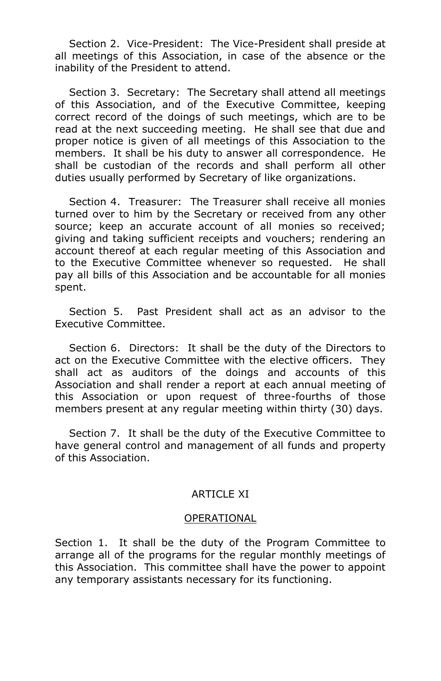Section 2. Vice-President: The Vice-President shall preside at all meetings of this Association, in case of the absence or the inability of the President to attend.

 Section 3. Secretary: The Secretary shall attend all meetings of this Association, and of the Executive Committee, keeping correct record of the doings of such meetings, which are to be read at the next succeeding meeting. He shall see that due and proper notice is given of all meetings of this Association to the members. It shall be his duty to answer all correspondence. He shall be custodian of the records and shall perform all other duties usually performed by Secretary of like organizations.

 Section 4. Treasurer: The Treasurer shall receive all monies turned over to him by the Secretary or received from any other source; keep an accurate account of all monies so received; giving and taking sufficient receipts and vouchers; rendering an account thereof at each regular meeting of this Association and to the Executive Committee whenever so requested. He shall pay all bills of this Association and be accountable for all monies spent.

 Section 5. Past President shall act as an advisor to the Executive Committee.

 Section 6. Directors: It shall be the duty of the Directors to act on the Executive Committee with the elective officers. They shall act as auditors of the doings and accounts of this Association and shall render a report at each annual meeting of this Association or upon request of three-fourths of those members present at any regular meeting within thirty (30) days.

 Section 7. It shall be the duty of the Executive Committee to have general control and management of all funds and property of this Association.

## ARTICLE XI

## OPERATIONAL

Section 1. It shall be the duty of the Program Committee to arrange all of the programs for the regular monthly meetings of this Association. This committee shall have the power to appoint any temporary assistants necessary for its functioning.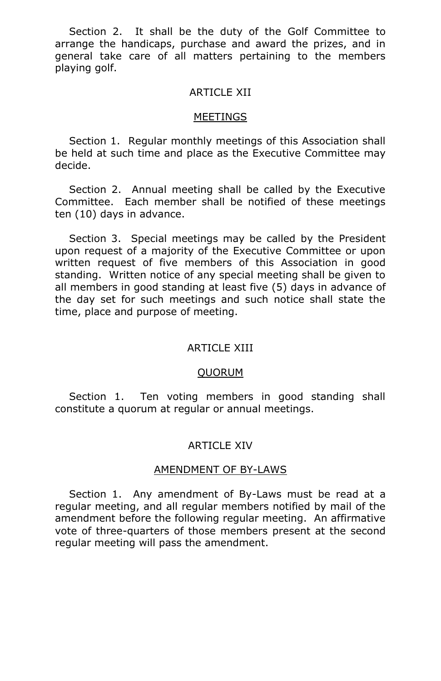Section 2. It shall be the duty of the Golf Committee to arrange the handicaps, purchase and award the prizes, and in general take care of all matters pertaining to the members playing golf.

## ARTICLE XII

#### MEETINGS

 Section 1. Regular monthly meetings of this Association shall be held at such time and place as the Executive Committee may decide.

 Section 2. Annual meeting shall be called by the Executive Committee. Each member shall be notified of these meetings ten (10) days in advance.

 Section 3. Special meetings may be called by the President upon request of a majority of the Executive Committee or upon written request of five members of this Association in good standing. Written notice of any special meeting shall be given to all members in good standing at least five (5) days in advance of the day set for such meetings and such notice shall state the time, place and purpose of meeting.

## **ARTICLE XIII**

#### QUORUM

Section 1. Ten voting members in good standing shall constitute a quorum at regular or annual meetings.

## ARTICLE XIV

#### AMENDMENT OF BY-LAWS

 Section 1. Any amendment of By-Laws must be read at a regular meeting, and all regular members notified by mail of the amendment before the following regular meeting. An affirmative vote of three-quarters of those members present at the second regular meeting will pass the amendment.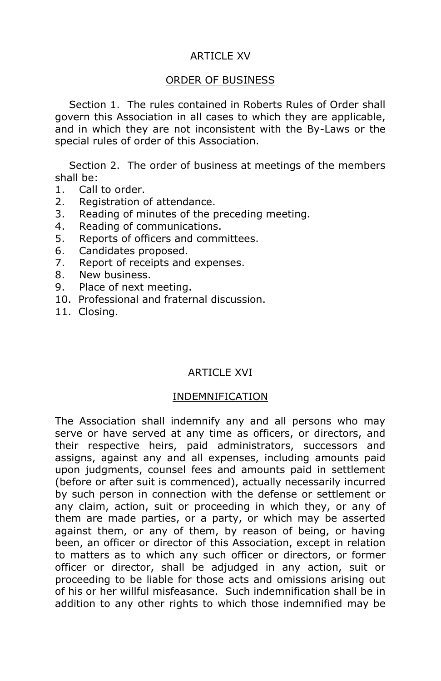# ARTICLE XV

## ORDER OF BUSINESS

 Section 1. The rules contained in Roberts Rules of Order shall govern this Association in all cases to which they are applicable, and in which they are not inconsistent with the By-Laws or the special rules of order of this Association.

 Section 2. The order of business at meetings of the members shall be:

- 1. Call to order.
- 2. Registration of attendance.
- 3. Reading of minutes of the preceding meeting.
- 4. Reading of communications.
- 5. Reports of officers and committees.
- 6. Candidates proposed.
- 7. Report of receipts and expenses.
- 8. New business.
- 9. Place of next meeting.
- 10. Professional and fraternal discussion.
- 11. Closing.

## ARTICLE XVI

## INDEMNIFICATION

The Association shall indemnify any and all persons who may serve or have served at any time as officers, or directors, and their respective heirs, paid administrators, successors and assigns, against any and all expenses, including amounts paid upon judgments, counsel fees and amounts paid in settlement (before or after suit is commenced), actually necessarily incurred by such person in connection with the defense or settlement or any claim, action, suit or proceeding in which they, or any of them are made parties, or a party, or which may be asserted against them, or any of them, by reason of being, or having been, an officer or director of this Association, except in relation to matters as to which any such officer or directors, or former officer or director, shall be adjudged in any action, suit or proceeding to be liable for those acts and omissions arising out of his or her willful misfeasance. Such indemnification shall be in addition to any other rights to which those indemnified may be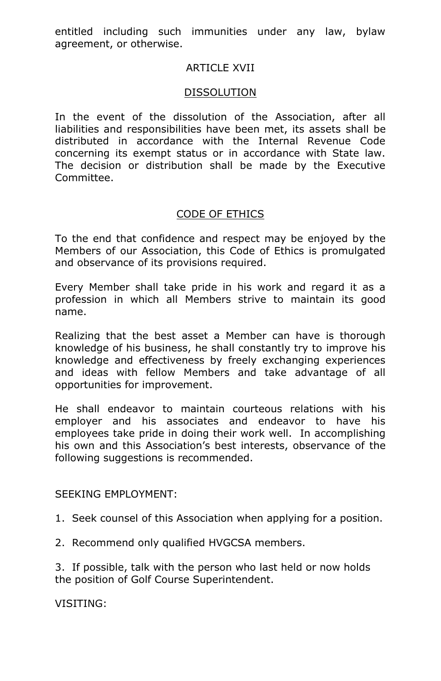entitled including such immunities under any law, bylaw agreement, or otherwise.

# **ARTICLE XVII**

# DISSOLUTION

In the event of the dissolution of the Association, after all liabilities and responsibilities have been met, its assets shall be distributed in accordance with the Internal Revenue Code concerning its exempt status or in accordance with State law. The decision or distribution shall be made by the Executive Committee.

# CODE OF ETHICS

To the end that confidence and respect may be enjoyed by the Members of our Association, this Code of Ethics is promulgated and observance of its provisions required.

Every Member shall take pride in his work and regard it as a profession in which all Members strive to maintain its good name.

Realizing that the best asset a Member can have is thorough knowledge of his business, he shall constantly try to improve his knowledge and effectiveness by freely exchanging experiences and ideas with fellow Members and take advantage of all opportunities for improvement.

He shall endeavor to maintain courteous relations with his employer and his associates and endeavor to have his employees take pride in doing their work well. In accomplishing his own and this Association's best interests, observance of the following suggestions is recommended.

## SEEKING EMPLOYMENT:

1. Seek counsel of this Association when applying for a position.

2. Recommend only qualified HVGCSA members.

3. If possible, talk with the person who last held or now holds the position of Golf Course Superintendent.

VISITING: